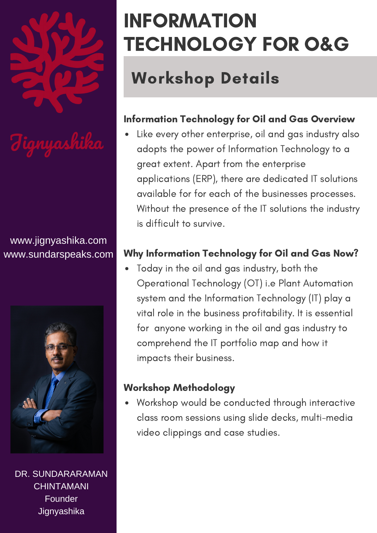

# ignyashika

#### www.jignyashika.com www.sundarspeaks.com



DR. SUNDARARAMAN CHINTAMANI Founder **Jignyashika** 

## INFORMATION TECHNOLOGY FOR O&G

### Workshop Details

### Information Technology for Oil and Gas Overview

Like every other enterprise, oil and gas industry also adopts the power of Information Technology to a great extent. Apart from the enterprise applications (ERP), there are dedicated IT solutions available for for each of the businesses processes. Without the presence of the IT solutions the industry is difficult to survive.

### Why Information Technology for Oil and Gas Now?

Today in the oil and gas industry, both the Operational Technology (OT) i.e Plant Automation system and the Information Technology (IT) play a vital role in the business profitability. It is essential for anyone working in the oil and gas industry to comprehend the IT portfolio map and how it impacts their business.

### Workshop Methodology

Workshop would be conducted through interactive class room sessions using slide decks, multi-media video clippings and case studies.